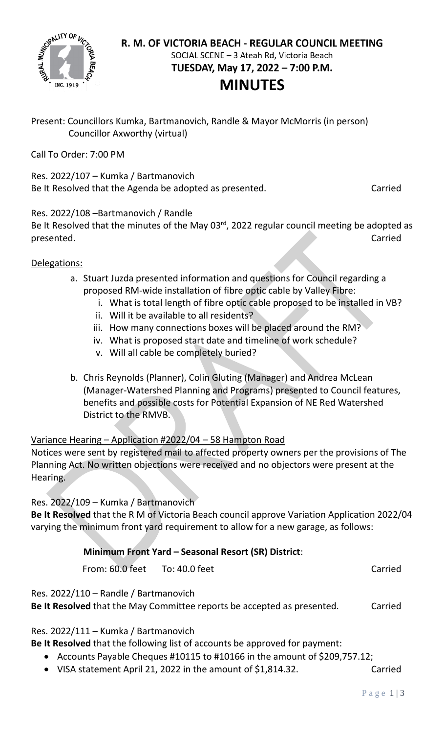

#### R. M. OF VICTORIA BEACH - REGULAR COUNCIL MEETING SOCIAL SCENE - 3 Ateah Rd, Victoria Beach

TUESDAY, May 17, 2022 - 7:00 P.M.

## **MINUTES**

Present: Councillors Kumka, Bartmanovich, Randle & Mayor McMorris (in person) Councillor Axworthy (virtual)

Call To Order: 7:00 PM

Res. 2022/107 – Kumka / Bartmanovich Be It Resolved that the Agenda be adopted as presented. Carried

### Res. 2022/108 –Bartmanovich / Randle

Be It Resolved that the minutes of the May 03 $^{rd}$ , 2022 regular council meeting be adopted as presented. Carried

### Delegations:

- a. Stuart Juzda presented information and questions for Council regarding a proposed RM-wide installation of fibre optic cable by Valley Fibre:
	- i. What is total length of fibre optic cable proposed to be installed in VB?
	- ii. Will it be available to all residents?
	- iii. How many connections boxes will be placed around the RM?
	- iv. What is proposed start date and timeline of work schedule?
	- v. Will all cable be completely buried?
- b. Chris Reynolds (Planner), Colin Gluting (Manager) and Andrea McLean (Manager-Watershed Planning and Programs) presented to Council features, benefits and possible costs for Potential Expansion of NE Red Watershed District to the RMVB.

### Variance Hearing – Application #2022/04 – 58 Hampton Road

Notices were sent by registered mail to affected property owners per the provisions of The Planning Act. No written objections were received and no objectors were present at the Hearing.

### Res. 2022/109 – Kumka / Bartmanovich

**Be It Resolved** that the R M of Victoria Beach council approve Variation Application 2022/04 varying the minimum front yard requirement to allow for a new garage, as follows:

### **Minimum Front Yard – Seasonal Resort (SR) District**:

From: 60.0 feet To: 40.0 feet Carried

Res. 2022/110 – Randle / Bartmanovich

**Be It Resolved** that the May Committee reports be accepted as presented. Carried

Res. 2022/111 – Kumka / Bartmanovich

**Be It Resolved** that the following list of accounts be approved for payment:

- Accounts Payable Cheques #10115 to #10166 in the amount of \$209,757.12;
- VISA statement April 21, 2022 in the amount of \$1,814.32. Carried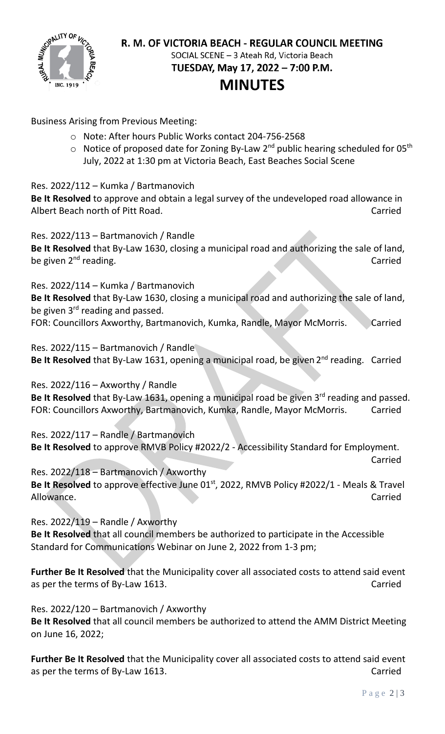

### R. M. OF VICTORIA BEACH - REGULAR COUNCIL MEETING SOCIAL SCENE - 3 Ateah Rd, Victoria Beach

TUESDAY, May 17, 2022 - 7:00 P.M.

# **MINUTES**

Business Arising from Previous Meeting:

- o Note: After hours Public Works contact 204-756-2568
- $\circ$  Notice of proposed date for Zoning By-Law 2<sup>nd</sup> public hearing scheduled for 05<sup>th</sup> July, 2022 at 1:30 pm at Victoria Beach, East Beaches Social Scene

Res. 2022/112 – Kumka / Bartmanovich

**Be It Resolved** to approve and obtain a legal survey of the undeveloped road allowance in Albert Beach north of Pitt Road. Carried

Res. 2022/113 – Bartmanovich / Randle

**Be It Resolved** that By-Law 1630, closing a municipal road and authorizing the sale of land, be given 2<sup>nd</sup> reading. Carried and the state of the state of the state of the state of the state of the state of the state of the state of the state of the state of the state of the state of the state of the state of the

Res. 2022/114 – Kumka / Bartmanovich

**Be It Resolved** that By-Law 1630, closing a municipal road and authorizing the sale of land, be given  $3^{rd}$  reading and passed.

FOR: Councillors Axworthy, Bartmanovich, Kumka, Randle, Mayor McMorris. Carried

Res. 2022/115 – Bartmanovich / Randle Be It Resolved that By-Law 1631, opening a municipal road, be given 2<sup>nd</sup> reading. Carried

Res. 2022/116 – Axworthy / Randle **Be It Resolved** that By-Law 1631, opening a municipal road be given 3rd reading and passed. FOR: Councillors Axworthy, Bartmanovich, Kumka, Randle, Mayor McMorris. Carried

Res. 2022/117 – Randle / Bartmanovich **Be It Resolved** to approve RMVB Policy #2022/2 - Accessibility Standard for Employment.

Res. 2022/118 – Bartmanovich / Axworthy Be It Resolved to approve effective June 01<sup>st</sup>, 2022, RMVB Policy #2022/1 - Meals & Travel Allowance. Carried

Res. 2022/119 – Randle / Axworthy **Be It Resolved** that all council members be authorized to participate in the Accessible Standard for Communications Webinar on June 2, 2022 from 1-3 pm;

**Further Be It Resolved** that the Municipality cover all associated costs to attend said event as per the terms of By-Law 1613. The same state of the carried carried carried

Res. 2022/120 – Bartmanovich / Axworthy

**Be It Resolved** that all council members be authorized to attend the AMM District Meeting on June 16, 2022;

**Further Be It Resolved** that the Municipality cover all associated costs to attend said event as per the terms of By-Law 1613. The same state of the carried carried

Carried